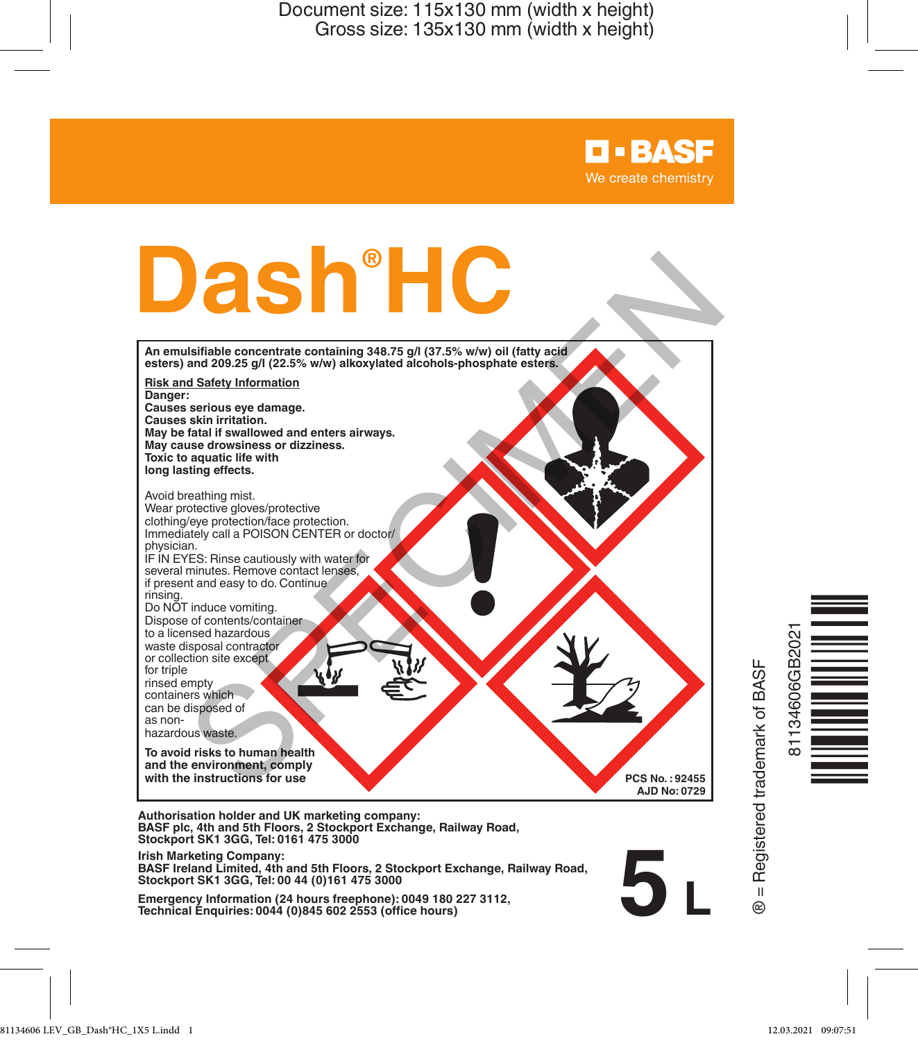# **Dash® HC**

**An emulsifiable concentrate containing 348.75 g/l (37.5% w/w) oil (fatty acid esters) and 209.25 g/l (22.5% w/w) alkoxylated alcohols-phosphate esters.**

**Risk and Safety Information Danger: Causes serious eye damage. Causes skin irritation. May be fatal if swallowed and enters airways.**

**May cause drowsiness or dizziness. Toxic to aquatic life with long lasting effects.**

Avoid breathing mist. Wear protective gloves/protective clothing/eye protection/face protection. Immediately call a POISON CENTER or doctor/ physician. IF IN EYES: Rinse cautiously with water for several minutes. Remove contact lenses if present and easy to do. Continue rinsing. Do NOT induce vomiting. Dispose of contents/container to a licensed hazardous waste disposal contractor or collection site except for triple rinsed empty containers which can be disposed of as nonhazardous waste. **SPECIES CONTRACT CONTRACT CONTRACT CONTRACT CONTRACT CONTRACT CONTRACT CONTRACT CONTRACT CONTRACT CONTRACT CONTRACT CONTRACT CONTRACT CONTRACT CONTRACT CONTRACT CONTRACT CONTRACT CONTRACT CONTRACT CONTRACT CONTRACT CONTRA** 

**To avoid risks to human health and the environment, comply with the instructions for use**

**Authorisation holder and UK marketing company: BASF plc, 4th and 5th Floors, 2 Stockport Exchange, Railway Road, Stockport SK1 3GG, Tel: 0161 475 3000**

**Irish Marketing Company:**

**BASF Ireland Limited, 4th and 5th Floors, 2 Stockport Exchange, Railway Road, Stockport SK1 3GG, Tel: 00 44 (0)161 475 3000**

**Emergency Information (24 hours freephone): 0049 180 227 3112, Technical Enquiries: 0044 (0)845 602 2553 (office hours)**

**B** = Registered trademark of BASF ® = Registered trademark of BASF

**5 L**

**PCS No. : 92455 AJD No: 0729**

**D-BASF** We create chemistry



81134606 LEV\_GB\_Dash®HC\_1X5 L.indd 1 12.03.2021 09:07:51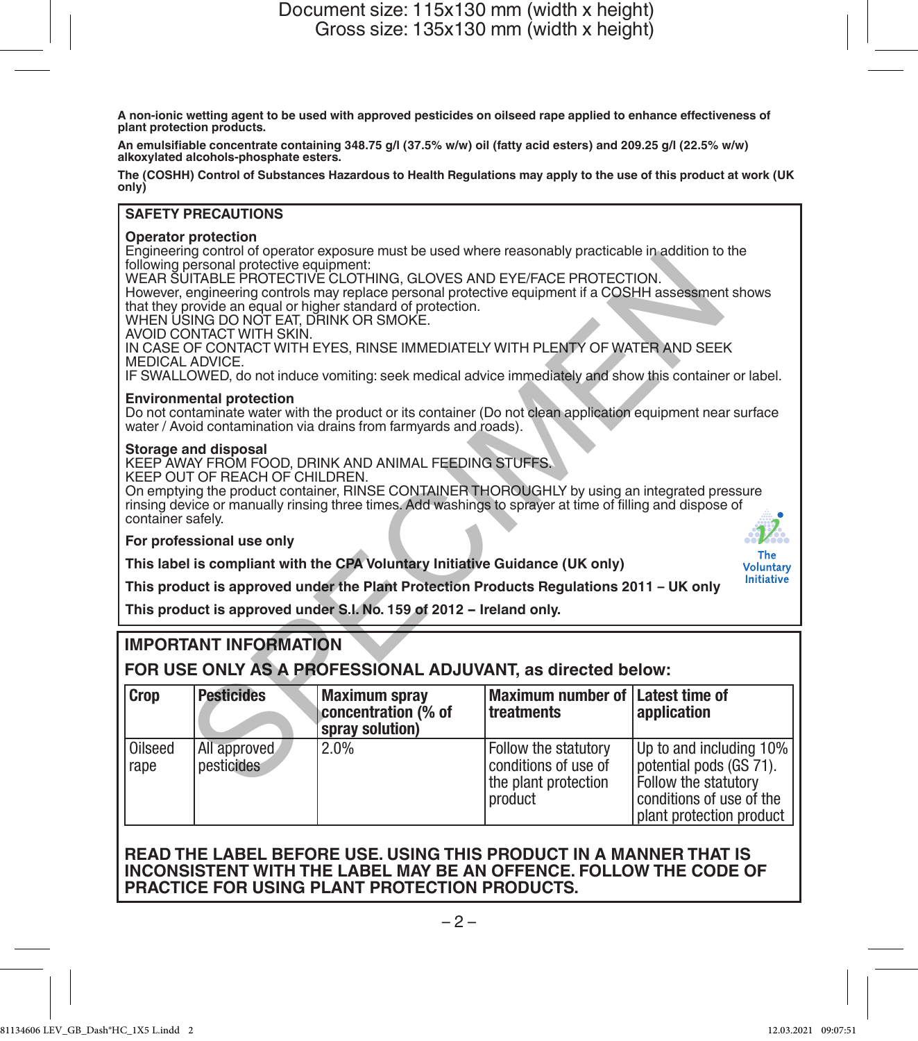**A non-ionic wetting agent to be used with approved pesticides on oilseed rape applied to enhance effectiveness of plant protection products.**

**An emulsifiable concentrate containing 348.75 g/l (37.5% w/w) oil (fatty acid esters) and 209.25 g/l (22.5% w/w) alkoxylated alcohols-phosphate esters.**

**The (COSHH) Control of Substances Hazardous to Health Regulations may apply to the use of this product at work (UK only)**

### **SAFETY PRECAUTIONS**

### **Operator protection**

Engineering control of operator exposure must be used where reasonably practicable in addition to the following personal protective equipment:

### **Environmental protection**

### **Storage and disposal**

# **IMPORTANT INFORMATION**

| Crop                                                                                                                                                                                                                                                                                                                                                                                                                                                                    |                   | concentration (% of | treatments                              | application |
|-------------------------------------------------------------------------------------------------------------------------------------------------------------------------------------------------------------------------------------------------------------------------------------------------------------------------------------------------------------------------------------------------------------------------------------------------------------------------|-------------------|---------------------|-----------------------------------------|-------------|
|                                                                                                                                                                                                                                                                                                                                                                                                                                                                         | <b>Pesticides</b> | Maximum spray       | Maximum number of <i>Latest time of</i> |             |
| FOR USE ONLY AS A PROFESSIONAL ADJUVANT, as directed below:                                                                                                                                                                                                                                                                                                                                                                                                             |                   |                     |                                         |             |
| <b>IMPORTANT INFORMATION</b>                                                                                                                                                                                                                                                                                                                                                                                                                                            |                   |                     |                                         |             |
| This product is approved under S.I. No. 159 of 2012 - Ireland only.                                                                                                                                                                                                                                                                                                                                                                                                     |                   |                     |                                         |             |
| This label is compliant with the CPA Voluntary Initiative Guidance (UK only)<br><b>Voluntary</b><br><b>Initiative</b><br>This product is approved under the Plant Protection Products Regulations 2011 - UK only                                                                                                                                                                                                                                                        |                   |                     |                                         |             |
| For professional use only<br>The                                                                                                                                                                                                                                                                                                                                                                                                                                        |                   |                     |                                         |             |
| Storage and disposal<br>KEEP AWAY FROM FOOD, DRINK AND ANIMAL FEEDING STUFFS.<br>KEEP OUT OF REACH OF CHILDREN.<br>On emptying the product container, RINSE CONTAINER THOROUGHLY by using an integrated pressure<br>rinsing device or manually rinsing three times. Add washings to sprayer at time of filling and dispose of<br>container safely.                                                                                                                      |                   |                     |                                         |             |
| <b>Environmental protection</b><br>Do not contaminate water with the product or its container (Do not clean application equipment near surface<br>water / Avoid contamination via drains from farmyards and roads).                                                                                                                                                                                                                                                     |                   |                     |                                         |             |
| IN CASE OF CONTACT WITH EYES, RINSE IMMEDIATELY WITH PLENTY OF WATER AND SEEK<br>MEDICAL ADVICE.<br>IF SWALLOWED, do not induce vomiting: seek medical advice immediately and show this container or label.                                                                                                                                                                                                                                                             |                   |                     |                                         |             |
| Linging on the control of operator exposure must be used where reasonably practicable in addition to the<br>following personal protective equipment:<br>WEAR SUITABLE PROTECTIVE CLOTHING. GLOVES AND EYE/FACE PROTECTION.<br>However, engineering controls may replace personal protective equipment if a COSHH assessment shows<br>that they provide an equal or higher standard of protection.<br>WHEN USING DO NOT EAT. DRINK OR SMOKE.<br>AVOID CONTACT WITH SKIN. |                   |                     |                                         |             |

### **READ THE LABEL BEFORE USE. USING THIS PRODUCT IN A MANNER THAT IS INCONSISTENT WITH THE LABEL MAY BE AN OFFENCE. FOLLOW THE CODE OF PRACTICE FOR USING PLANT PROTECTION PRODUCTS.**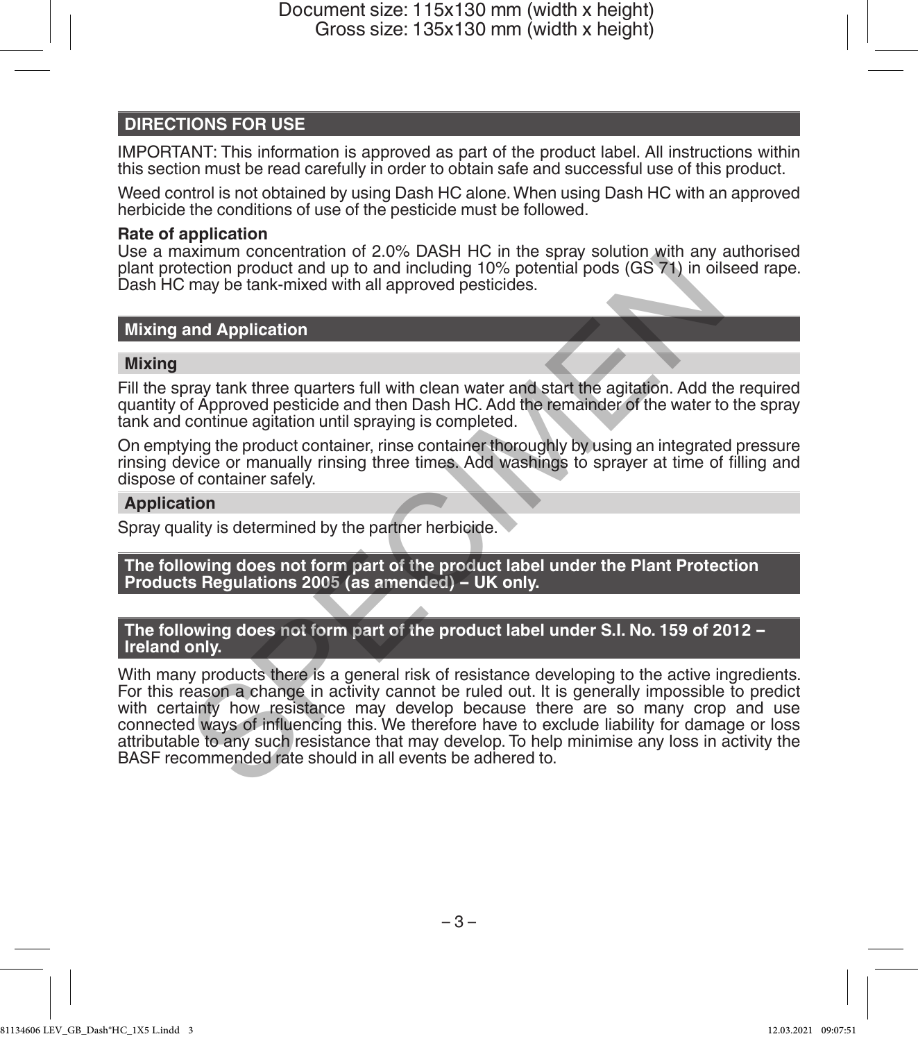# **DIRECTIONS FOR USE**

IMPORTANT: This information is approved as part of the product label. All instructions within this section must be read carefully in order to obtain safe and successful use of this product.

Weed control is not obtained by using Dash HC alone. When using Dash HC with an approved herbicide the conditions of use of the pesticide must be followed.

### **Rate of application**

Use a maximum concentration of 2.0% DASH HC in the spray solution with any authorised plant protection product and up to and including 10% potential pods (GS 71) in oilseed rape. Dash HC may be tank-mixed with all approved pesticides.

### **Mixing and Application**

### **Mixing**

Fill the spray tank three quarters full with clean water and start the agitation. Add the required quantity of Approved pesticide and then Dash HC. Add the remainder of the water to the spray tank and continue agitation until spraying is completed.

On emptying the product container, rinse container thoroughly by using an integrated pressure rinsing device or manually rinsing three times. Add washings to sprayer at time of filling and dispose of container safely.

### **Application**

Spray quality is determined by the partner herbicide.

### **The following does not form part of the product label under the Plant Protection Products Regulations 2005 (as amended) - UK only.**

### **The following does not form part of the product label under S.I. No. 159 of 2012 - Ireland only.**

With many products there is a general risk of resistance developing to the active ingredients. For this reason a change in activity cannot be ruled out. It is generally impossible to predict with certainty how resistance may develop because there are so many crop and use connected ways of influencing this. We therefore have to exclude liability for damage or loss attributable to any such resistance that may develop. To help minimise any loss in activity the BASF recommended rate should in all events be adhered to. Examini concentration of 2.0% DASH FIC in the splay solution (with any discussion product and up to and including 10% potential pods (GS 71) in oils<br>may be tank-mixed with all approved pesticides.<br>
and Application<br>
oray ta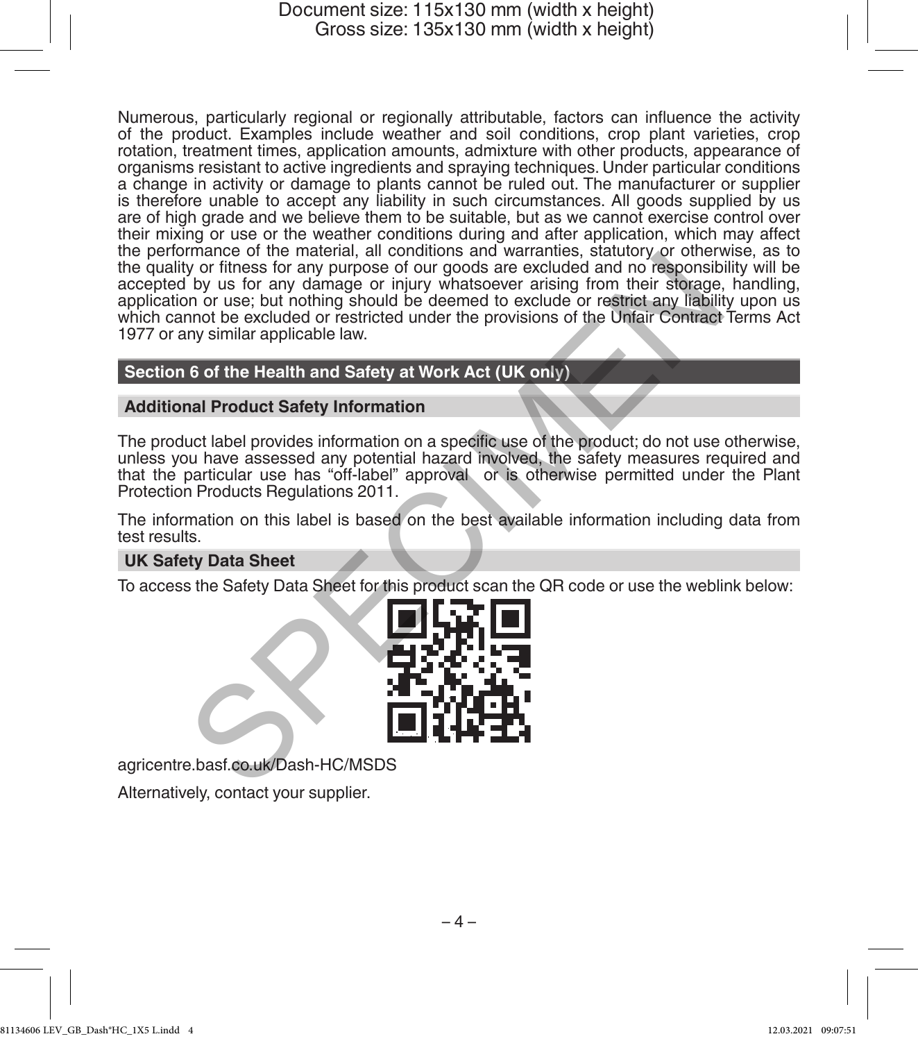Numerous, particularly regional or regionally attributable, factors can influence the activity of the product. Examples include weather and soil conditions, crop plant varieties, crop rotation, treatment times, application amounts, admixture with other products, appearance of organisms resistant to active ingredients and spraying techniques. Under particular conditions a change in activity or damage to plants cannot be ruled out. The manufacturer or supplier is therefore unable to accept any liability in such circumstances. All goods supplied by us are of high grade and we believe them to be suitable, but as we cannot exercise control over their mixing or use or the weather conditions during and after application, which may affect the performance of the material, all conditions and warranties, statutory or otherwise, as to the quality or fitness for any purpose of our goods are excluded and no responsibility will be accepted by us for any damage or injury whatsoever arising from their storage, handling, application or use; but nothing should be deemed to exclude or restrict any liability upon us which cannot be excluded or restricted under the provisions of the Unfair Contract Terms Act 1977 or any similar applicable law. mance of the miatenta, an containing same and warrantees of the miastary state of the miastary and the second of the second of the second of the second of the second of the second of the second of the second of the second

## **Section 6 of the Health and Safety at Work Act (UK only)**

### **Additional Product Safety Information**

The product label provides information on a specific use of the product; do not use otherwise, unless you have assessed any potential hazard involved, the safety measures required and that the particular use has "off-label" approval or is otherwise permitted under the Plant Protection Products Regulations 2011.

The information on this label is based on the best available information including data from test results.

### **UK Safety Data Sheet**

To access the Safety Data Sheet for this product scan the QR code or use the weblink below:



agricentre.basf.co.uk/Dash-HC/MSDS

Alternatively, contact your supplier.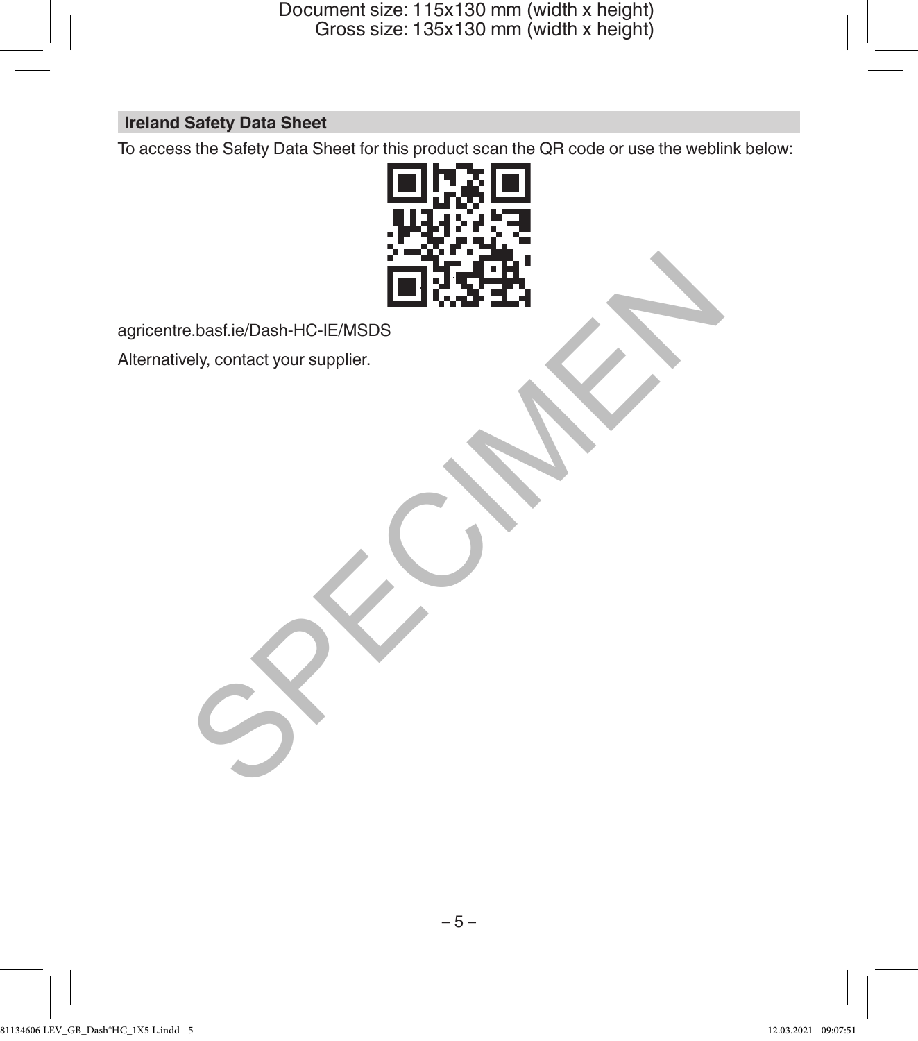# **Ireland Safety Data Sheet**

To access the Safety Data Sheet for this product scan the QR code or use the weblink below:



agricentre.basf.ie/Dash-HC-IE/MSDS

Alternatively, contact your supplier.